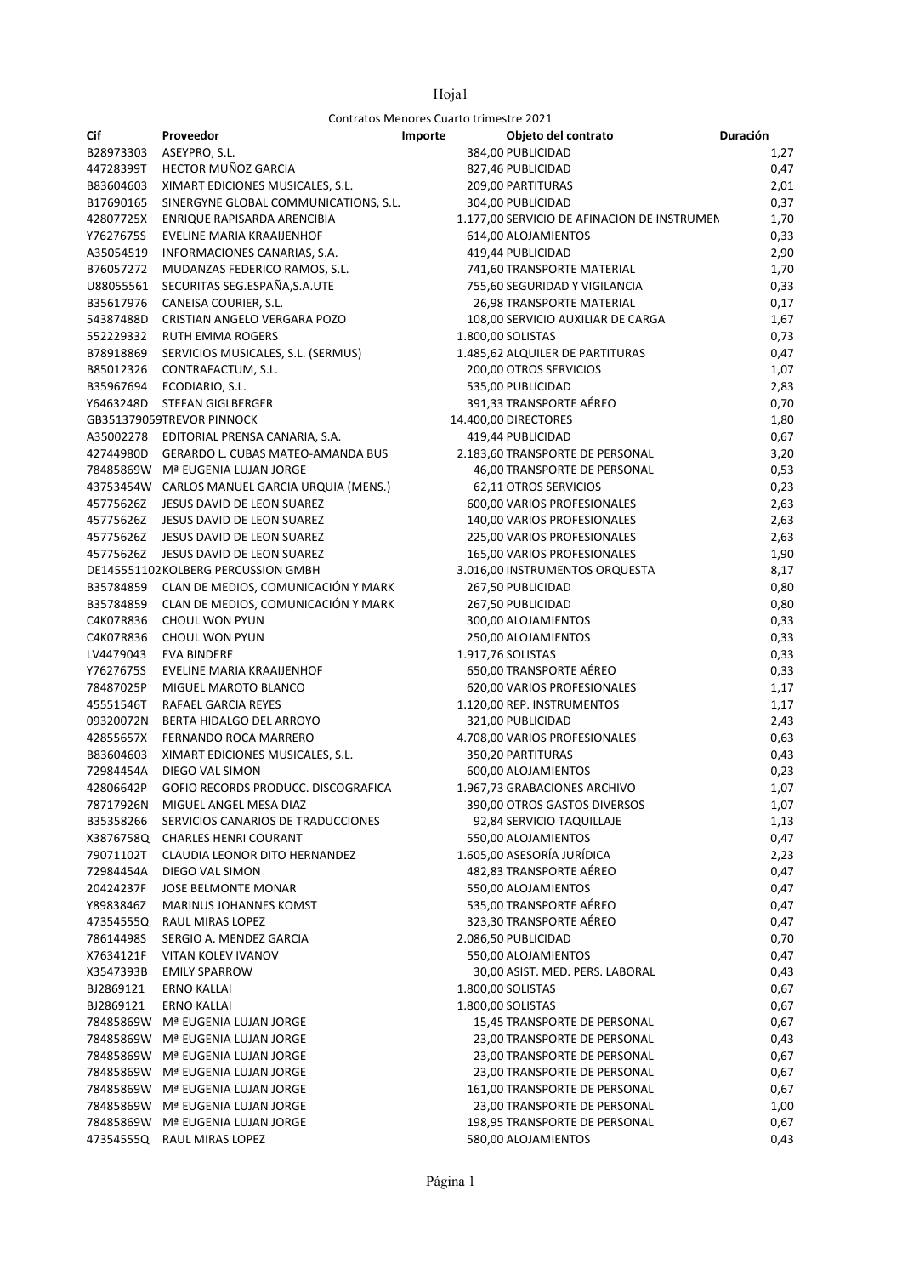Contratos Menores Cuarto trimestre 2021

| Cif                    | Proveedor                                                             | Importe | Objeto del contrato                                   | Duración     |
|------------------------|-----------------------------------------------------------------------|---------|-------------------------------------------------------|--------------|
| B28973303              | ASEYPRO, S.L.                                                         |         | 384,00 PUBLICIDAD                                     | 1,27         |
| 44728399T              | HECTOR MUÑOZ GARCIA                                                   |         | 827,46 PUBLICIDAD                                     | 0,47         |
| B83604603              | XIMART EDICIONES MUSICALES, S.L.                                      |         | 209,00 PARTITURAS                                     | 2,01         |
| B17690165              | SINERGYNE GLOBAL COMMUNICATIONS, S.L.                                 |         | 304,00 PUBLICIDAD                                     | 0,37         |
| 42807725X              | ENRIQUE RAPISARDA ARENCIBIA                                           |         | 1.177,00 SERVICIO DE AFINACION DE INSTRUMEN           | 1,70         |
| Y7627675S              | EVELINE MARIA KRAAIJENHOF                                             |         | 614,00 ALOJAMIENTOS                                   | 0,33         |
| A35054519              | INFORMACIONES CANARIAS, S.A.                                          |         | 419,44 PUBLICIDAD                                     | 2,90         |
| B76057272              | MUDANZAS FEDERICO RAMOS, S.L.                                         |         | 741,60 TRANSPORTE MATERIAL                            | 1,70         |
| U88055561              | SECURITAS SEG.ESPAÑA, S.A.UTE                                         |         | 755,60 SEGURIDAD Y VIGILANCIA                         | 0,33         |
| B35617976              | CANEISA COURIER, S.L.                                                 |         | 26,98 TRANSPORTE MATERIAL                             | 0,17         |
| 54387488D              | CRISTIAN ANGELO VERGARA POZO                                          |         | 108,00 SERVICIO AUXILIAR DE CARGA                     | 1,67         |
| 552229332              | RUTH EMMA ROGERS                                                      |         | 1.800,00 SOLISTAS                                     | 0,73         |
| B78918869              | SERVICIOS MUSICALES, S.L. (SERMUS)                                    |         | 1.485,62 ALQUILER DE PARTITURAS                       | 0,47         |
| B85012326              | CONTRAFACTUM, S.L.                                                    |         | 200,00 OTROS SERVICIOS                                | 1,07         |
| B35967694              | ECODIARIO, S.L.                                                       |         | 535,00 PUBLICIDAD                                     | 2,83         |
|                        | Y6463248D STEFAN GIGLBERGER                                           |         | 391,33 TRANSPORTE AÉREO                               | 0,70         |
|                        | GB351379059TREVOR PINNOCK                                             |         | 14.400,00 DIRECTORES                                  | 1,80         |
|                        | A35002278 EDITORIAL PRENSA CANARIA, S.A.                              |         | 419,44 PUBLICIDAD                                     | 0,67         |
|                        | 42744980D GERARDO L. CUBAS MATEO-AMANDA BUS                           |         | 2.183,60 TRANSPORTE DE PERSONAL                       | 3,20         |
|                        | 78485869W Mª EUGENIA LUJAN JORGE                                      |         | 46,00 TRANSPORTE DE PERSONAL                          | 0,53         |
|                        | 43753454W CARLOS MANUEL GARCIA URQUIA (MENS.)                         |         | 62,11 OTROS SERVICIOS                                 | 0,23         |
|                        | 45775626Z JESUS DAVID DE LEON SUAREZ                                  |         | 600,00 VARIOS PROFESIONALES                           | 2,63         |
| 45775626Z              | JESUS DAVID DE LEON SUAREZ                                            |         | 140,00 VARIOS PROFESIONALES                           | 2,63         |
| 45775626Z              | JESUS DAVID DE LEON SUAREZ                                            |         | 225,00 VARIOS PROFESIONALES                           | 2,63         |
| 45775626Z              | JESUS DAVID DE LEON SUAREZ                                            |         | 165,00 VARIOS PROFESIONALES                           | 1,90         |
|                        | DE145551102KOLBERG PERCUSSION GMBH                                    |         | 3.016,00 INSTRUMENTOS ORQUESTA                        | 8,17         |
|                        | B35784859 CLAN DE MEDIOS, COMUNICACIÓN Y MARK                         |         | 267,50 PUBLICIDAD                                     | 0,80         |
| B35784859              | CLAN DE MEDIOS, COMUNICACIÓN Y MARK                                   |         | 267,50 PUBLICIDAD                                     | 0,80         |
| C4K07R836              | CHOUL WON PYUN                                                        |         | 300,00 ALOJAMIENTOS                                   | 0,33         |
| C4K07R836              | CHOUL WON PYUN                                                        |         | 250,00 ALOJAMIENTOS                                   | 0,33         |
| LV4479043              | EVA BINDERE                                                           |         | 1.917,76 SOLISTAS                                     | 0,33         |
| Y7627675S              | EVELINE MARIA KRAAIJENHOF                                             |         | 650,00 TRANSPORTE AÉREO                               | 0,33         |
| 78487025P              | MIGUEL MAROTO BLANCO                                                  |         | 620,00 VARIOS PROFESIONALES                           | 1,17         |
| 45551546T              | RAFAEL GARCIA REYES                                                   |         | 1.120,00 REP. INSTRUMENTOS                            | 1,17         |
| 09320072N              | BERTA HIDALGO DEL ARROYO                                              |         | 321,00 PUBLICIDAD                                     | 2,43         |
| 42855657X              | FERNANDO ROCA MARRERO                                                 |         | 4.708,00 VARIOS PROFESIONALES                         | 0,63         |
| B83604603              | XIMART EDICIONES MUSICALES, S.L.                                      |         | 350,20 PARTITURAS                                     | 0,43         |
| 72984454A              | DIEGO VAL SIMON                                                       |         | 600,00 ALOJAMIENTOS                                   | 0,23         |
| 42806642P              | GOFIO RECORDS PRODUCC. DISCOGRAFICA                                   |         | 1.967,73 GRABACIONES ARCHIVO                          | 1,07         |
| 78717926N              | MIGUEL ANGEL MESA DIAZ                                                |         | 390,00 OTROS GASTOS DIVERSOS                          | 1,07         |
| B35358266              | SERVICIOS CANARIOS DE TRADUCCIONES<br>X3876758Q CHARLES HENRI COURANT |         | 92,84 SERVICIO TAQUILLAJE<br>550,00 ALOJAMIENTOS      | 1,13         |
|                        | <b>CLAUDIA LEONOR DITO HERNANDEZ</b>                                  |         |                                                       | 0,47         |
| 79071102T<br>72984454A | DIEGO VAL SIMON                                                       |         | 1.605,00 ASESORÍA JURÍDICA<br>482,83 TRANSPORTE AÉREO | 2,23<br>0,47 |
| 20424237F              | <b>JOSE BELMONTE MONAR</b>                                            |         | 550,00 ALOJAMIENTOS                                   | 0,47         |
| Y8983846Z              | <b>MARINUS JOHANNES KOMST</b>                                         |         | 535,00 TRANSPORTE AÉREO                               | 0,47         |
|                        | 47354555Q RAUL MIRAS LOPEZ                                            |         | 323,30 TRANSPORTE AÉREO                               | 0,47         |
| 78614498S              | SERGIO A. MENDEZ GARCIA                                               |         | 2.086,50 PUBLICIDAD                                   | 0,70         |
| X7634121F              | VITAN KOLEV IVANOV                                                    |         | 550,00 ALOJAMIENTOS                                   | 0,47         |
| X3547393B              | <b>EMILY SPARROW</b>                                                  |         | 30,00 ASIST. MED. PERS. LABORAL                       | 0,43         |
| BJ2869121              | <b>ERNO KALLAI</b>                                                    |         | 1.800,00 SOLISTAS                                     | 0,67         |
| BJ2869121              | <b>ERNO KALLAI</b>                                                    |         | 1.800,00 SOLISTAS                                     | 0,67         |
|                        | 78485869W Mª EUGENIA LUJAN JORGE                                      |         | 15,45 TRANSPORTE DE PERSONAL                          | 0,67         |
|                        | 78485869W Mª EUGENIA LUJAN JORGE                                      |         | 23,00 TRANSPORTE DE PERSONAL                          | 0,43         |
|                        | 78485869W Mª EUGENIA LUJAN JORGE                                      |         | 23,00 TRANSPORTE DE PERSONAL                          | 0,67         |
|                        | 78485869W Mª EUGENIA LUJAN JORGE                                      |         | 23,00 TRANSPORTE DE PERSONAL                          | 0,67         |
|                        | 78485869W Mª EUGENIA LUJAN JORGE                                      |         | 161,00 TRANSPORTE DE PERSONAL                         | 0,67         |
|                        | 78485869W Mª EUGENIA LUJAN JORGE                                      |         | 23,00 TRANSPORTE DE PERSONAL                          | 1,00         |
|                        | 78485869W Mª EUGENIA LUJAN JORGE                                      |         | 198,95 TRANSPORTE DE PERSONAL                         | 0,67         |
|                        | 47354555Q RAUL MIRAS LOPEZ                                            |         | 580,00 ALOJAMIENTOS                                   | 0,43         |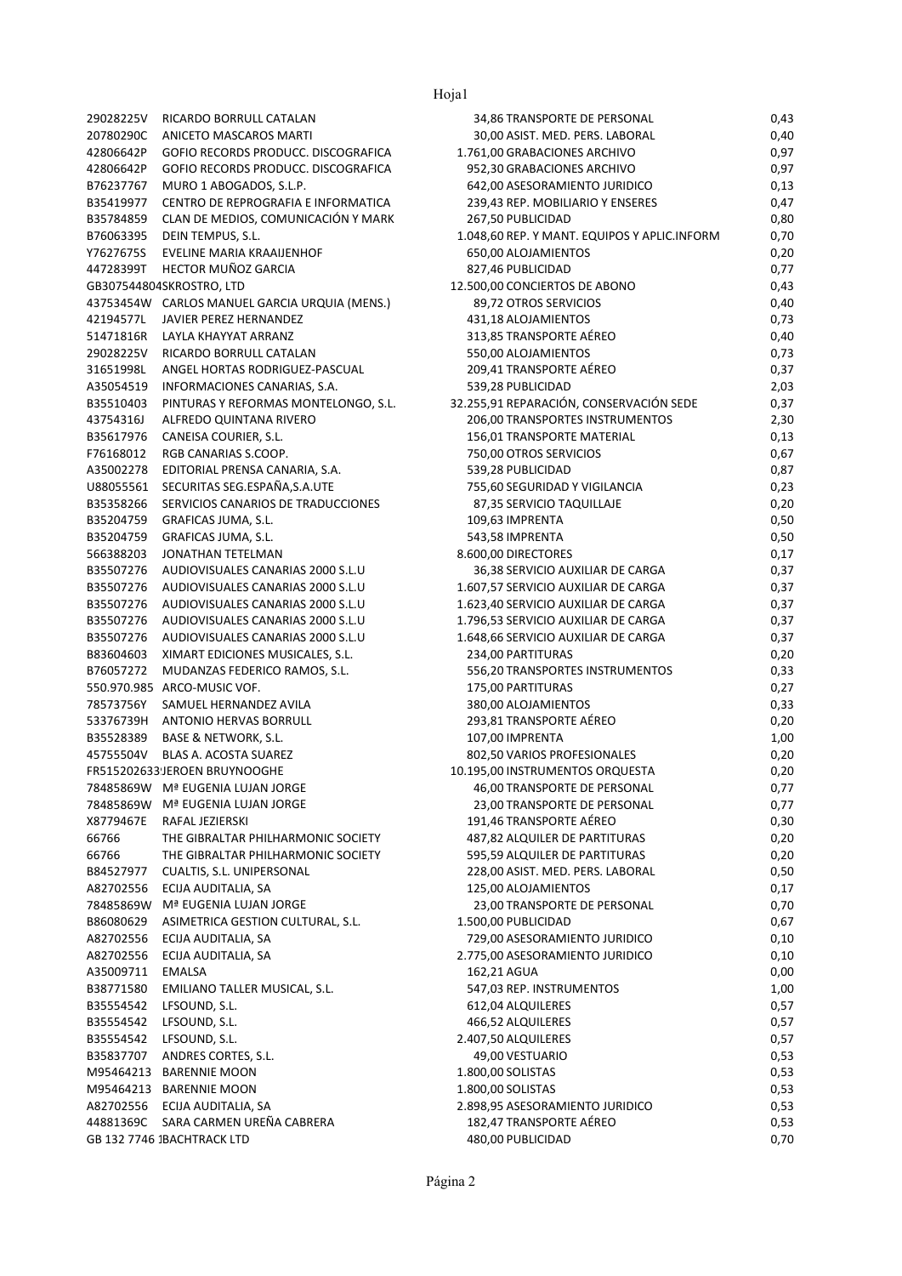Hoja1

| 29028225V              | RICARDO BORRULL CATALAN                                                |
|------------------------|------------------------------------------------------------------------|
| 20780290C              | ANICETO MASCAROS MARTI                                                 |
| 42806642P              | GOFIO RECORDS PRODUCC. DISCOGRAFICA                                    |
| 42806642P              | GOFIO RECORDS PRODUCC. DISCOGRAFICA                                    |
| B76237767              | MURO 1 ABOGADOS, S.L.P.                                                |
| B35419977              | CENTRO DE REPROGRAFIA E INFORMATICA                                    |
| B35784859              | CLAN DE MEDIOS, COMUNICACIÓN Y MARK                                    |
| B76063395              | DEIN TEMPUS, S.L.                                                      |
| Y7627675S<br>44728399T | EVELINE MARIA KRAAIJENHOF<br>HECTOR MUÑOZ GARCIA                       |
|                        | GB307544804SKROSTRO, LTD                                               |
| 43753454W              | CARLOS MANUEL GARCIA URQUIA (MENS.)                                    |
| 42194577L              | JAVIER PEREZ HERNANDEZ                                                 |
| 51471816R              | <b>LAYLA KHAYYAT ARRANZ</b>                                            |
| 29028225V              | RICARDO BORRULL CATALAN                                                |
| 31651998L              | ANGEL HORTAS RODRIGUEZ-PASCUAL                                         |
| A35054519              | INFORMACIONES CANARIAS, S.A.                                           |
| B35510403              | PINTURAS Y REFORMAS MONTELONGO, S.L.                                   |
| 43754316J              | ALFREDO QUINTANA RIVERO                                                |
| B35617976              | CANEISA COURIER, S.L.                                                  |
| F76168012              | RGB CANARIAS S.COOP.                                                   |
| A35002278              | EDITORIAL PRENSA CANARIA, S.A.                                         |
| U88055561              | SECURITAS SEG.ESPAÑA,S.A.UTE                                           |
| B35358266              | SERVICIOS CANARIOS DE TRADUCCIONES                                     |
| B35204759              | GRAFICAS JUMA, S.L.                                                    |
| B35204759              | GRAFICAS JUMA, S.L.                                                    |
| 566388203              | JONATHAN TETELMAN                                                      |
| B35507276              | AUDIOVISUALES CANARIAS 2000 S.L.U                                      |
| B35507276<br>B35507276 | AUDIOVISUALES CANARIAS 2000 S.L.U<br>AUDIOVISUALES CANARIAS 2000 S.L.U |
| B35507276              | AUDIOVISUALES CANARIAS 2000 S.L.U                                      |
| B35507276              | AUDIOVISUALES CANARIAS 2000 S.L.U                                      |
| B83604603              | XIMART EDICIONES MUSICALES, S.L.                                       |
| B76057272              | MUDANZAS FEDERICO RAMOS, S.L.                                          |
| 550.970.985            | ARCO-MUSIC VOF.                                                        |
| 78573756Y              | SAMUEL HERNANDEZ AVILA                                                 |
| 53376739H              | <b>ANTONIO HERVAS BORRULL</b>                                          |
| B35528389              | <b>BASE &amp; NETWORK, S.L.</b>                                        |
| 45755504V              | <b>BLAS A. ACOSTA SUAREZ</b>                                           |
|                        | FR515202633JEROEN BRUYNOOGHE                                           |
| 78485869W              | Mª EUGENIA LUJAN JORGE                                                 |
| 78485869W              | Mª EUGENIA LUJAN JORGE                                                 |
| X8779467E              | RAFAL JEZIERSKI                                                        |
| 66766                  | THE GIBRALTAR PHILHARMONIC SOCIETY                                     |
| 66766                  | THE GIBRALTAR PHILHARMONIC SOCIETY                                     |
| B84527977              | CUALTIS, S.L. UNIPERSONAL                                              |
| A82702556              | ECIJA AUDITALIA, SA                                                    |
| 78485869W              | Mª EUGENIA LUJAN JORGE                                                 |
| B86080629              | ASIMETRICA GESTION CULTURAL, S.L.                                      |
| A82702556              | ECIJA AUDITALIA, SA                                                    |
| A82702556              | ECIJA AUDITALIA, SA                                                    |
| A35009711              | EMALSA                                                                 |
| B38771580              | EMILIANO TALLER MUSICAL, S.L.                                          |
| B35554542<br>B35554542 | LFSOUND, S.L.<br>LFSOUND, S.L.                                         |
| B35554542              | LFSOUND, S.L.                                                          |
| B35837707              | ANDRES CORTES, S.L.                                                    |
| M95464213              | <b>BARENNIE MOON</b>                                                   |
|                        | M95464213 BARENNIE MOON                                                |
|                        | A82702556 ECIJA AUDITALIA, SA                                          |
|                        | 44881369C SARA CARMEN UREÑA CABRERA                                    |
|                        | GB 132 7746 1BACHTRACK LTD                                             |

| 29028225V | RICARDO BORRULL CATALAN                       | 34,86 TRANSPORTE DE PERSONAL                 | 0,43 |
|-----------|-----------------------------------------------|----------------------------------------------|------|
| 20780290C | ANICETO MASCAROS MARTI                        | 30,00 ASIST. MED. PERS. LABORAL              | 0,40 |
| 42806642P | GOFIO RECORDS PRODUCC. DISCOGRAFICA           | 1.761,00 GRABACIONES ARCHIVO                 | 0,97 |
| 42806642P | GOFIO RECORDS PRODUCC. DISCOGRAFICA           | 952,30 GRABACIONES ARCHIVO                   | 0,97 |
| B76237767 | MURO 1 ABOGADOS, S.L.P.                       | 642,00 ASESORAMIENTO JURIDICO                | 0,13 |
| B35419977 | CENTRO DE REPROGRAFIA E INFORMATICA           | 239,43 REP. MOBILIARIO Y ENSERES             | 0,47 |
| B35784859 | CLAN DE MEDIOS, COMUNICACIÓN Y MARK           | 267,50 PUBLICIDAD                            | 0,80 |
| B76063395 | DEIN TEMPUS, S.L.                             | 1.048,60 REP. Y MANT. EQUIPOS Y APLIC.INFORM | 0,70 |
| Y7627675S | EVELINE MARIA KRAAIJENHOF                     | 650,00 ALOJAMIENTOS                          | 0,20 |
| 44728399T | HECTOR MUÑOZ GARCIA                           | 827,46 PUBLICIDAD                            | 0,77 |
|           | GB307544804SKROSTRO, LTD                      | 12.500,00 CONCIERTOS DE ABONO                | 0,43 |
|           | 43753454W CARLOS MANUEL GARCIA URQUIA (MENS.) | 89,72 OTROS SERVICIOS                        | 0,40 |
| 42194577L | JAVIER PEREZ HERNANDEZ                        | 431,18 ALOJAMIENTOS                          | 0,73 |
| 51471816R | LAYLA KHAYYAT ARRANZ                          | 313,85 TRANSPORTE AÉREO                      | 0,40 |
| 29028225V | RICARDO BORRULL CATALAN                       | 550,00 ALOJAMIENTOS                          | 0,73 |
| 31651998L | ANGEL HORTAS RODRIGUEZ-PASCUAL                | 209,41 TRANSPORTE AÉREO                      | 0,37 |
| A35054519 | INFORMACIONES CANARIAS, S.A.                  | 539,28 PUBLICIDAD                            | 2,03 |
| B35510403 | PINTURAS Y REFORMAS MONTELONGO, S.L.          | 32.255,91 REPARACIÓN, CONSERVACIÓN SEDE      | 0,37 |
| 43754316J | ALFREDO QUINTANA RIVERO                       | 206,00 TRANSPORTES INSTRUMENTOS              | 2,30 |
| B35617976 | CANEISA COURIER, S.L.                         | 156,01 TRANSPORTE MATERIAL                   | 0,13 |
| F76168012 | RGB CANARIAS S.COOP.                          | 750,00 OTROS SERVICIOS                       | 0,67 |
| A35002278 | EDITORIAL PRENSA CANARIA, S.A.                | 539,28 PUBLICIDAD                            | 0,87 |
| U88055561 | SECURITAS SEG.ESPAÑA, S.A.UTE                 | 755,60 SEGURIDAD Y VIGILANCIA                | 0,23 |
| B35358266 | SERVICIOS CANARIOS DE TRADUCCIONES            | 87,35 SERVICIO TAQUILLAJE                    | 0,20 |
| B35204759 | GRAFICAS JUMA, S.L.                           | 109,63 IMPRENTA                              | 0,50 |
| B35204759 | GRAFICAS JUMA, S.L.                           | 543,58 IMPRENTA                              | 0,50 |
| 566388203 | JONATHAN TETELMAN                             | 8.600,00 DIRECTORES                          | 0,17 |
| B35507276 | AUDIOVISUALES CANARIAS 2000 S.L.U             | 36,38 SERVICIO AUXILIAR DE CARGA             | 0,37 |
| B35507276 | AUDIOVISUALES CANARIAS 2000 S.L.U             | 1.607,57 SERVICIO AUXILIAR DE CARGA          | 0,37 |
| B35507276 | AUDIOVISUALES CANARIAS 2000 S.L.U             | 1.623,40 SERVICIO AUXILIAR DE CARGA          | 0,37 |
| B35507276 | AUDIOVISUALES CANARIAS 2000 S.L.U             | 1.796,53 SERVICIO AUXILIAR DE CARGA          | 0,37 |
| B35507276 | AUDIOVISUALES CANARIAS 2000 S.L.U             |                                              |      |
|           |                                               | 1.648,66 SERVICIO AUXILIAR DE CARGA          | 0,37 |
| B83604603 | XIMART EDICIONES MUSICALES, S.L.              | 234,00 PARTITURAS                            | 0,20 |
| B76057272 | MUDANZAS FEDERICO RAMOS, S.L.                 | 556,20 TRANSPORTES INSTRUMENTOS              | 0,33 |
|           | 550.970.985 ARCO-MUSIC VOF.                   | 175,00 PARTITURAS                            | 0,27 |
| 78573756Y | SAMUEL HERNANDEZ AVILA                        | 380,00 ALOJAMIENTOS                          | 0,33 |
| 53376739H | ANTONIO HERVAS BORRULL                        | 293,81 TRANSPORTE AÉREO                      | 0,20 |
| B35528389 | BASE & NETWORK, S.L.                          | 107,00 IMPRENTA                              | 1,00 |
| 45755504V | BLAS A. ACOSTA SUAREZ                         | 802,50 VARIOS PROFESIONALES                  | 0,20 |
|           | FR515202633 JEROEN BRUYNOOGHE                 | 10.195,00 INSTRUMENTOS ORQUESTA              | 0,20 |
|           | 78485869W Mª EUGENIA LUJAN JORGE              | 46,00 TRANSPORTE DE PERSONAL                 | 0,77 |
|           | 78485869W Mª EUGENIA LUJAN JORGE              | 23,00 TRANSPORTE DE PERSONAL                 | 0,77 |
| X8779467E | RAFAL JEZIERSKI                               | 191,46 TRANSPORTE AÉREO                      | 0,30 |
| 66766     | THE GIBRALTAR PHILHARMONIC SOCIETY            | 487,82 ALQUILER DE PARTITURAS                | 0,20 |
| 66766     | THE GIBRALTAR PHILHARMONIC SOCIETY            | 595,59 ALQUILER DE PARTITURAS                | 0,20 |
| B84527977 | CUALTIS, S.L. UNIPERSONAL                     | 228,00 ASIST. MED. PERS. LABORAL             | 0,50 |
| A82702556 | ECIJA AUDITALIA, SA                           | 125,00 ALOJAMIENTOS                          | 0,17 |
| 78485869W | Mª EUGENIA LUJAN JORGE                        | 23,00 TRANSPORTE DE PERSONAL                 | 0,70 |
| B86080629 | ASIMETRICA GESTION CULTURAL, S.L.             | 1.500,00 PUBLICIDAD                          | 0,67 |
| A82702556 | ECIJA AUDITALIA, SA                           | 729,00 ASESORAMIENTO JURIDICO                | 0,10 |
| A82702556 | ECIJA AUDITALIA, SA                           | 2.775,00 ASESORAMIENTO JURIDICO              | 0,10 |
| A35009711 | EMALSA                                        | 162,21 AGUA                                  | 0,00 |
| B38771580 | EMILIANO TALLER MUSICAL, S.L.                 | 547,03 REP. INSTRUMENTOS                     | 1,00 |
| B35554542 | LFSOUND, S.L.                                 | 612,04 ALQUILERES                            | 0,57 |
| B35554542 | LFSOUND, S.L.                                 | 466,52 ALQUILERES                            | 0,57 |
| B35554542 | LFSOUND, S.L.                                 | 2.407,50 ALQUILERES                          | 0,57 |
| B35837707 | ANDRES CORTES, S.L.                           | 49,00 VESTUARIO                              | 0,53 |
|           | M95464213 BARENNIE MOON                       | 1.800,00 SOLISTAS                            | 0,53 |
|           | M95464213 BARENNIE MOON                       | 1.800,00 SOLISTAS                            | 0,53 |
|           | A82702556 ECIJA AUDITALIA, SA                 | 2.898,95 ASESORAMIENTO JURIDICO              | 0,53 |
|           | 44881369C SARA CARMEN UREÑA CABRERA           | 182,47 TRANSPORTE AÉREO                      | 0,53 |
|           | GB 132 7746 1BACHTRACK LTD                    | 480,00 PUBLICIDAD                            | 0,70 |
|           |                                               |                                              |      |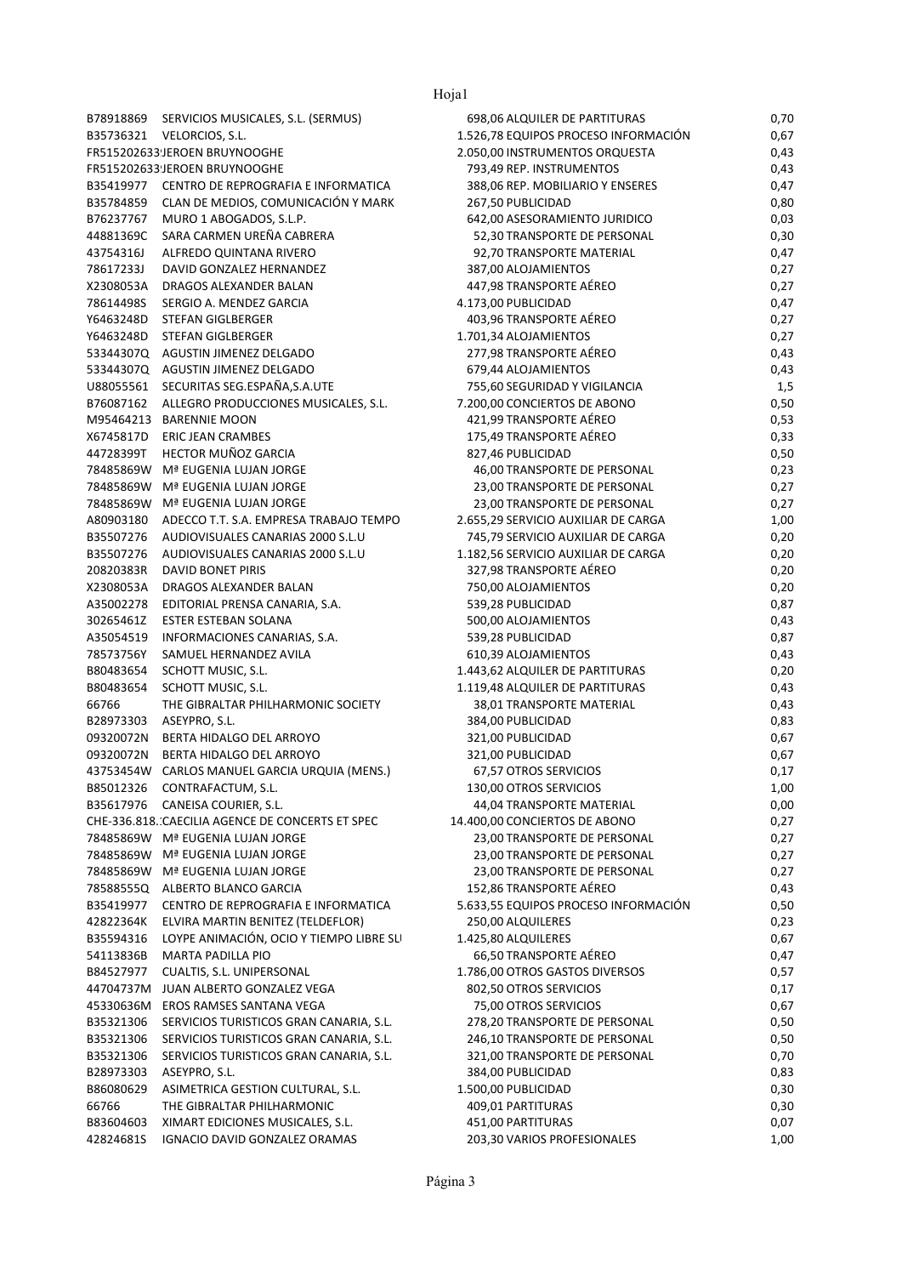## Hoja1

|           | B78918869 SERVICIOS MUSICALES, S.L. (SERMUS)     |
|-----------|--------------------------------------------------|
|           | B35736321 VELORCIOS, S.L.                        |
|           | FR515202633 JEROEN BRUYNOOGHE                    |
|           | FR515202633 JEROEN BRUYNOOGHE                    |
| B35419977 | CENTRO DE REPROGRAFIA E INFORMATICA              |
| B35784859 | CLAN DE MEDIOS, COMUNICACIÓN Y MARK              |
| B76237767 | MURO 1 ABOGADOS, S.L.P.                          |
| 44881369C | SARA CARMEN UREÑA CABRERA                        |
| 43754316J | ALFREDO QUINTANA RIVERO                          |
| 78617233J | DAVID GONZALEZ HERNANDEZ                         |
| X2308053A | DRAGOS ALEXANDER BALAN                           |
| 78614498S | SERGIO A. MENDEZ GARCIA                          |
| Y6463248D | <b>STEFAN GIGLBERGER</b>                         |
| Y6463248D | STEFAN GIGLBERGER                                |
| 53344307Q | AGUSTIN JIMENEZ DELGADO                          |
| 53344307Q | AGUSTIN JIMENEZ DELGADO                          |
| U88055561 | SECURITAS SEG.ESPAÑA,S.A.UTE                     |
| B76087162 | ALLEGRO PRODUCCIONES MUSICALES, S.L.             |
| M95464213 | <b>BARENNIE MOON</b>                             |
| X6745817D | <b>ERIC JEAN CRAMBES</b>                         |
| 44728399T | HECTOR MUÑOZ GARCIA                              |
| 78485869W | Mª EUGENIA LUJAN JORGE                           |
| 78485869W | Mª EUGENIA LUJAN JORGE                           |
| 78485869W | Mª EUGENIA LUJAN JORGE                           |
| A80903180 | ADECCO T.T. S.A. EMPRESA TRABAJO TEMPO           |
| B35507276 | AUDIOVISUALES CANARIAS 2000 S.L.U                |
| B35507276 | AUDIOVISUALES CANARIAS 2000 S.L.U                |
| 20820383R | DAVID BONET PIRIS                                |
| X2308053A | DRAGOS ALEXANDER BALAN                           |
| A35002278 | EDITORIAL PRENSA CANARIA, S.A.                   |
| 30265461Z | ESTER ESTEBAN SOLANA                             |
| A35054519 | INFORMACIONES CANARIAS, S.A.                     |
| 78573756Y | SAMUEL HERNANDEZ AVILA                           |
| B80483654 | SCHOTT MUSIC, S.L.                               |
| B80483654 | SCHOTT MUSIC, S.L.                               |
| 66766     | THE GIBRALTAR PHILHARMONIC SOCIETY               |
| B28973303 | ASEYPRO, S.L.                                    |
| 09320072N | BERTA HIDALGO DEL ARROYO                         |
| 09320072N | BERTA HIDALGO DEL ARROYO                         |
| 43753454W | CARLOS MANUEL GARCIA URQUIA (MENS.)              |
| B85012326 | CONTRAFACTUM, S.L.                               |
| B35617976 | CANEISA COURIER, S.L.                            |
|           | CHE-336.818. CAECILIA AGENCE DE CONCERTS ET SPEC |
| 78485869W | Mª EUGENIA LUJAN JORGE                           |
| 78485869W | Mª EUGENIA LUJAN JORGE                           |
| 78485869W | Mª EUGENIA LUJAN JORGE                           |
| 78588555Q | ALBERTO BLANCO GARCIA                            |
| B35419977 | CENTRO DE REPROGRAFIA E INFORMATICA              |
| 42822364K | ELVIRA MARTIN BENITEZ (TELDEFLOR)                |
| B35594316 | LOYPE ANIMACIÓN, OCIO Y TIEMPO LIBRE SLI         |
| 54113836B | <b>MARTA PADILLA PIO</b>                         |
| B84527977 | CUALTIS, S.L. UNIPERSONAL                        |
| 44704737M | JUAN ALBERTO GONZALEZ VEGA                       |
| 45330636M | EROS RAMSES SANTANA VEGA                         |
| B35321306 | SERVICIOS TURISTICOS GRAN CANARIA, S.L.          |
| B35321306 | SERVICIOS TURISTICOS GRAN CANARIA, S.L.          |
| B35321306 | SERVICIOS TURISTICOS GRAN CANARIA, S.L.          |
| B28973303 | ASEYPRO, S.L.                                    |
| B86080629 | ASIMETRICA GESTION CULTURAL, S.L.                |
| 66766     | THE GIBRALTAR PHILHARMONIC                       |
| B83604603 | XIMART EDICIONES MUSICALES, S.L.                 |
| 42824681S | IGNACIO DAVID GONZALEZ ORAMAS                    |

|                        |                                                        | TIVJAT                                   |              |
|------------------------|--------------------------------------------------------|------------------------------------------|--------------|
|                        | B78918869 SERVICIOS MUSICALES, S.L. (SERMUS)           | 698,06 ALQUILER DE PARTITURAS            | 0,70         |
|                        | B35736321 VELORCIOS, S.L.                              | 1.526,78 EQUIPOS PROCESO INFORMACIÓN     | 0,67         |
|                        | FR515202633JEROEN BRUYNOOGHE                           | 2.050,00 INSTRUMENTOS ORQUESTA           | 0,43         |
|                        | FR515202633JEROEN BRUYNOOGHE                           | 793,49 REP. INSTRUMENTOS                 | 0,43         |
|                        | B35419977 CENTRO DE REPROGRAFIA E INFORMATICA          | 388,06 REP. MOBILIARIO Y ENSERES         | 0,47         |
| B35784859              | CLAN DE MEDIOS, COMUNICACIÓN Y MARK                    | 267,50 PUBLICIDAD                        | 0,80         |
| B76237767              | MURO 1 ABOGADOS, S.L.P.                                | 642,00 ASESORAMIENTO JURIDICO            | 0,03         |
| 44881369C              | SARA CARMEN UREÑA CABRERA                              | 52,30 TRANSPORTE DE PERSONAL             | 0,30         |
| 43754316J              | ALFREDO QUINTANA RIVERO                                | 92,70 TRANSPORTE MATERIAL                | 0,47         |
| 78617233J              | DAVID GONZALEZ HERNANDEZ                               | 387,00 ALOJAMIENTOS                      | 0,27         |
| X2308053A              | DRAGOS ALEXANDER BALAN                                 | 447,98 TRANSPORTE AÉREO                  | 0,27         |
| 78614498S              | SERGIO A. MENDEZ GARCIA                                | 4.173,00 PUBLICIDAD                      | 0,47         |
| Y6463248D              | STEFAN GIGLBERGER                                      | 403,96 TRANSPORTE AÉREO                  | 0,27         |
| Y6463248D              | STEFAN GIGLBERGER                                      | 1.701,34 ALOJAMIENTOS                    | 0,27         |
|                        | 53344307Q AGUSTIN JIMENEZ DELGADO                      | 277,98 TRANSPORTE AÉREO                  | 0,43         |
|                        | 53344307Q AGUSTIN JIMENEZ DELGADO                      | 679,44 ALOJAMIENTOS                      | 0,43         |
|                        | U88055561 SECURITAS SEG.ESPAÑA,S.A.UTE                 | 755,60 SEGURIDAD Y VIGILANCIA            | 1,5          |
|                        | B76087162 ALLEGRO PRODUCCIONES MUSICALES, S.L.         | 7.200,00 CONCIERTOS DE ABONO             | 0,50         |
|                        | M95464213 BARENNIE MOON                                | 421,99 TRANSPORTE AÉREO                  | 0,53         |
| X6745817D              | <b>ERIC JEAN CRAMBES</b>                               | 175,49 TRANSPORTE AÉREO                  | 0,33         |
| 44728399T              | <b>HECTOR MUÑOZ GARCIA</b>                             | 827,46 PUBLICIDAD                        | 0,50         |
| 78485869W              | Mª EUGENIA LUJAN JORGE                                 | 46,00 TRANSPORTE DE PERSONAL             | 0,23         |
| 78485869W              | Mª EUGENIA LUJAN JORGE                                 | 23,00 TRANSPORTE DE PERSONAL             | 0,27         |
| 78485869W              | Mª EUGENIA LUJAN JORGE                                 | 23,00 TRANSPORTE DE PERSONAL             | 0,27         |
| A80903180              | ADECCO T.T. S.A. EMPRESA TRABAJO TEMPO                 | 2.655,29 SERVICIO AUXILIAR DE CARGA      | 1,00         |
| B35507276              | AUDIOVISUALES CANARIAS 2000 S.L.U                      | 745,79 SERVICIO AUXILIAR DE CARGA        | 0,20         |
| B35507276              | AUDIOVISUALES CANARIAS 2000 S.L.U                      | 1.182,56 SERVICIO AUXILIAR DE CARGA      | 0,20         |
| 20820383R              | <b>DAVID BONET PIRIS</b>                               | 327,98 TRANSPORTE AÉREO                  | 0,20         |
| X2308053A              | DRAGOS ALEXANDER BALAN                                 | 750,00 ALOJAMIENTOS                      | 0,20         |
| A35002278              | EDITORIAL PRENSA CANARIA, S.A.                         | 539,28 PUBLICIDAD                        | 0,87         |
| 30265461Z<br>A35054519 | ESTER ESTEBAN SOLANA                                   | 500,00 ALOJAMIENTOS                      | 0,43         |
| 78573756Y              | INFORMACIONES CANARIAS, S.A.<br>SAMUEL HERNANDEZ AVILA | 539,28 PUBLICIDAD<br>610,39 ALOJAMIENTOS | 0,87<br>0,43 |
| B80483654              | SCHOTT MUSIC, S.L.                                     | 1.443,62 ALQUILER DE PARTITURAS          | 0,20         |
| B80483654              | SCHOTT MUSIC, S.L.                                     | 1.119,48 ALQUILER DE PARTITURAS          | 0,43         |
| 66766                  | THE GIBRALTAR PHILHARMONIC SOCIETY                     | 38,01 TRANSPORTE MATERIAL                | 0,43         |
| B28973303              | ASEYPRO, S.L.                                          | 384,00 PUBLICIDAD                        | 0,83         |
| 09320072N              | BERTA HIDALGO DEL ARROYO                               | 321,00 PUBLICIDAD                        | 0,67         |
| 09320072N              | BERTA HIDALGO DEL ARROYO                               | 321,00 PUBLICIDAD                        | 0,67         |
|                        | 43753454W CARLOS MANUEL GARCIA URQUIA (MENS.)          | 67,57 OTROS SERVICIOS                    | 0,17         |
| B85012326              | CONTRAFACTUM, S.L.                                     | 130,00 OTROS SERVICIOS                   | 1,00         |
| B35617976              | CANEISA COURIER, S.L.                                  | 44,04 TRANSPORTE MATERIAL                | 0,00         |
|                        | CHE-336.818. CAECILIA AGENCE DE CONCERTS ET SPEC       | 14.400,00 CONCIERTOS DE ABONO            | 0,27         |
|                        | 78485869W Mª EUGENIA LUJAN JORGE                       | 23,00 TRANSPORTE DE PERSONAL             | 0,27         |
|                        | 78485869W Mª EUGENIA LUJAN JORGE                       | 23,00 TRANSPORTE DE PERSONAL             | 0,27         |
|                        | 78485869W Mª EUGENIA LUJAN JORGE                       | 23,00 TRANSPORTE DE PERSONAL             | 0,27         |
|                        | 78588555Q ALBERTO BLANCO GARCIA                        | 152,86 TRANSPORTE AÉREO                  | 0,43         |
| B35419977              | CENTRO DE REPROGRAFIA E INFORMATICA                    | 5.633,55 EQUIPOS PROCESO INFORMACIÓN     | 0,50         |
| 42822364K              | ELVIRA MARTIN BENITEZ (TELDEFLOR)                      | 250,00 ALQUILERES                        | 0,23         |
| B35594316              | LOYPE ANIMACIÓN, OCIO Y TIEMPO LIBRE SLI               | 1.425,80 ALQUILERES                      | 0,67         |
| 54113836B              | MARTA PADILLA PIO                                      | 66,50 TRANSPORTE AÉREO                   | 0,47         |
| B84527977              | CUALTIS, S.L. UNIPERSONAL                              | 1.786,00 OTROS GASTOS DIVERSOS           | 0,57         |
| 44704737M              | JUAN ALBERTO GONZALEZ VEGA                             | 802,50 OTROS SERVICIOS                   | 0,17         |
| 45330636M              | EROS RAMSES SANTANA VEGA                               | 75,00 OTROS SERVICIOS                    | 0,67         |
| B35321306              | SERVICIOS TURISTICOS GRAN CANARIA, S.L.                | 278,20 TRANSPORTE DE PERSONAL            | 0,50         |
| B35321306              | SERVICIOS TURISTICOS GRAN CANARIA, S.L.                | 246,10 TRANSPORTE DE PERSONAL            | 0,50         |
| B35321306              | SERVICIOS TURISTICOS GRAN CANARIA, S.L.                | 321,00 TRANSPORTE DE PERSONAL            | 0,70         |
| B28973303              | ASEYPRO, S.L.                                          | 384,00 PUBLICIDAD                        | 0,83         |
| B86080629              | ASIMETRICA GESTION CULTURAL, S.L.                      | 1.500,00 PUBLICIDAD                      | 0,30         |
| 66766                  | THE GIBRALTAR PHILHARMONIC                             | 409,01 PARTITURAS                        | 0,30         |
| B83604603              | XIMART EDICIONES MUSICALES, S.L.                       | 451,00 PARTITURAS                        | 0,07         |
| 42824681S              | IGNACIO DAVID GONZALEZ ORAMAS                          | 203,30 VARIOS PROFESIONALES              | 1,00         |